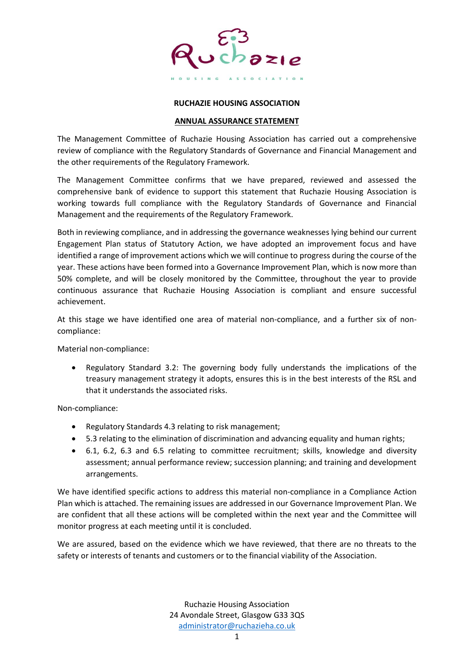

## **RUCHAZIE HOUSING ASSOCIATION**

## **ANNUAL ASSURANCE STATEMENT**

The Management Committee of Ruchazie Housing Association has carried out a comprehensive review of compliance with the Regulatory Standards of Governance and Financial Management and the other requirements of the Regulatory Framework.

The Management Committee confirms that we have prepared, reviewed and assessed the comprehensive bank of evidence to support this statement that Ruchazie Housing Association is working towards full compliance with the Regulatory Standards of Governance and Financial Management and the requirements of the Regulatory Framework.

Both in reviewing compliance, and in addressing the governance weaknesses lying behind our current Engagement Plan status of Statutory Action, we have adopted an improvement focus and have identified a range of improvement actions which we will continue to progress during the course of the year. These actions have been formed into a Governance Improvement Plan, which is now more than 50% complete, and will be closely monitored by the Committee, throughout the year to provide continuous assurance that Ruchazie Housing Association is compliant and ensure successful achievement.

At this stage we have identified one area of material non-compliance, and a further six of noncompliance:

Material non-compliance:

• Regulatory Standard 3.2: The governing body fully understands the implications of the treasury management strategy it adopts, ensures this is in the best interests of the RSL and that it understands the associated risks.

Non-compliance:

- Regulatory Standards 4.3 relating to risk management;
- 5.3 relating to the elimination of discrimination and advancing equality and human rights;
- 6.1, 6.2, 6.3 and 6.5 relating to committee recruitment; skills, knowledge and diversity assessment; annual performance review; succession planning; and training and development arrangements.

We have identified specific actions to address this material non-compliance in a Compliance Action Plan which is attached. The remaining issues are addressed in our Governance Improvement Plan. We are confident that all these actions will be completed within the next year and the Committee will monitor progress at each meeting until it is concluded.

We are assured, based on the evidence which we have reviewed, that there are no threats to the safety or interests of tenants and customers or to the financial viability of the Association.

> Ruchazie Housing Association 24 Avondale Street, Glasgow G33 3QS [administrator@ruchazieha.co.uk](mailto:administrator@ruchazieha.co.uk)